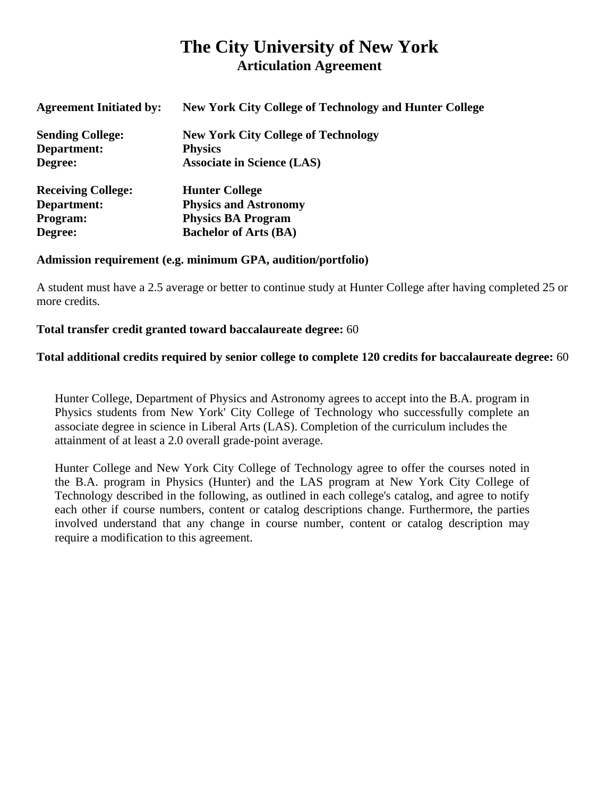# **The City University of New York Articulation Agreement**

| <b>Agreement Initiated by:</b> | <b>New York City College of Technology and Hunter College</b> |
|--------------------------------|---------------------------------------------------------------|
| <b>Sending College:</b>        | <b>New York City College of Technology</b>                    |
| Department:                    | <b>Physics</b>                                                |
| Degree:                        | <b>Associate in Science (LAS)</b>                             |
| <b>Receiving College:</b>      | <b>Hunter College</b>                                         |
| Department:                    | <b>Physics and Astronomy</b>                                  |
| Program:                       | <b>Physics BA Program</b>                                     |
| Degree:                        | <b>Bachelor of Arts (BA)</b>                                  |

# **Admission requirement (e.g. minimum GPA, audition/portfolio)**

 A student must have a 2.5 average or better to continue study at Hunter College after having completed 25 or more credits.

# **Total transfer credit granted toward baccalaureate degree:** 60

# **Total additional credits required by senior college to complete 120 credits for baccalaureate degree:** 60

 Hunter College, Department of Physics and Astronomy agrees to accept into the B.A. program in Physics students from New York' City College of Technology who successfully complete an associate degree in science in Liberal Arts (LAS). Completion of the curriculum includes the attainment of at least a 2.0 overall grade-point average.

 Hunter College and New York City College of Technology agree to offer the courses noted in the B.A. program in Physics (Hunter) and the LAS program at New York City College of Technology described in the following, as outlined in each college's catalog, and agree to notify each other if course numbers, content or catalog descriptions change. Furthermore, the parties involved understand that any change in course number, content or catalog description may require a modification to this agreement.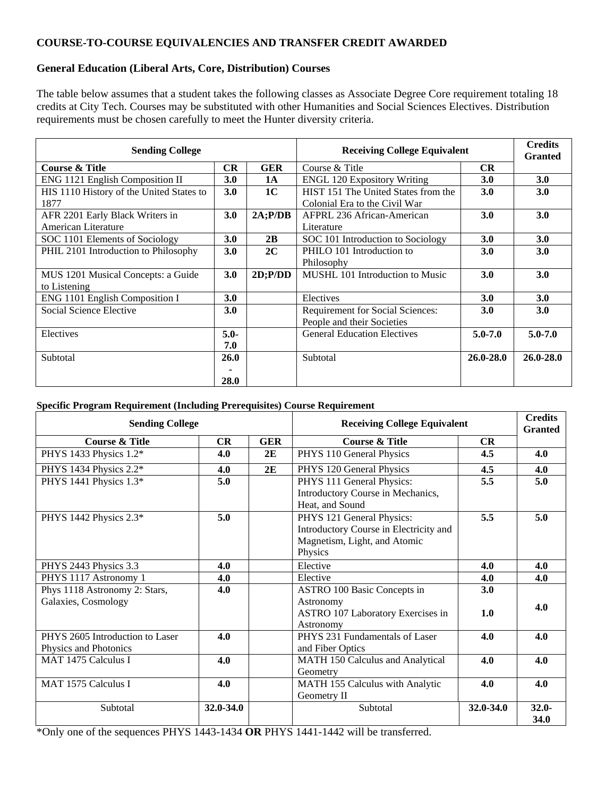### **COURSE-TO-COURSE EQUIVALENCIES AND TRANSFER CREDIT AWARDED**

### **General Education (Liberal Arts, Core, Distribution) Courses**

 The table below assumes that a student takes the following classes as Associate Degree Core requirement totaling 18 credits at City Tech. Courses may be substituted with other Humanities and Social Sciences Electives. Distribution requirements must be chosen carefully to meet the Hunter diversity criteria.

| <b>Sending College</b>                   |             |                | <b>Receiving College Equivalent</b> |               | <b>Credits</b><br><b>Granted</b> |
|------------------------------------------|-------------|----------------|-------------------------------------|---------------|----------------------------------|
| Course & Title                           | CR          | <b>GER</b>     | Course & Title                      | CR            |                                  |
| ENG 1121 English Composition II          | 3.0         | <b>1A</b>      | <b>ENGL 120 Expository Writing</b>  | <b>3.0</b>    | 3.0                              |
| HIS 1110 History of the United States to | 3.0         | 1 <sup>C</sup> | HIST 151 The United States from the | 3.0           | <b>3.0</b>                       |
| 1877                                     |             |                | Colonial Era to the Civil War       |               |                                  |
| AFR 2201 Early Black Writers in          | 3.0         | $2A$ ; $P/DB$  | AFPRL 236 African-American          | 3.0           | 3.0                              |
| American Literature                      |             |                | Literature                          |               |                                  |
| SOC 1101 Elements of Sociology           | 3.0         | 2B             | SOC 101 Introduction to Sociology   | <b>3.0</b>    | 3.0                              |
| PHIL 2101 Introduction to Philosophy     | 3.0         | 2C             | PHILO 101 Introduction to           | 3.0           | 3.0                              |
|                                          |             |                | Philosophy                          |               |                                  |
| MUS 1201 Musical Concepts: a Guide       | 3.0         | $2D$ ; $P/DD$  | MUSHL 101 Introduction to Music     | 3.0           | 3.0                              |
| to Listening                             |             |                |                                     |               |                                  |
| ENG 1101 English Composition I           | 3.0         |                | Electives                           | 3.0           | 3.0                              |
| Social Science Elective                  | <b>3.0</b>  |                | Requirement for Social Sciences:    | <b>3.0</b>    | <b>3.0</b>                       |
|                                          |             |                | People and their Societies          |               |                                  |
| Electives                                | $5.0 -$     |                | <b>General Education Electives</b>  | $5.0 - 7.0$   | $5.0 - 7.0$                      |
|                                          | 7.0         |                |                                     |               |                                  |
| Subtotal                                 | <b>26.0</b> |                | Subtotal                            | $26.0 - 28.0$ | $26.0 - 28.0$                    |
|                                          |             |                |                                     |               |                                  |
|                                          | 28.0        |                |                                     |               |                                  |

#### **Specific Program Requirement (Including Prerequisites) Course Requirement**

| <b>Sending College</b>                                   |           |            | <b>Receiving College Equivalent</b>                                                                            |           | <b>Credits</b><br><b>Granted</b> |
|----------------------------------------------------------|-----------|------------|----------------------------------------------------------------------------------------------------------------|-----------|----------------------------------|
| <b>Course &amp; Title</b>                                | CR        | <b>GER</b> | <b>Course &amp; Title</b>                                                                                      | <b>CR</b> |                                  |
| PHYS 1433 Physics 1.2*                                   | 4.0       | 2E         | PHYS 110 General Physics                                                                                       | 4.5       | 4.0                              |
| PHYS 1434 Physics 2.2*                                   | 4.0       | 2E         | PHYS 120 General Physics                                                                                       | 4.5       | 4.0                              |
| PHYS 1441 Physics 1.3*                                   | 5.0       |            | PHYS 111 General Physics:<br>Introductory Course in Mechanics,<br>Heat, and Sound                              | 5.5       | 5.0                              |
| PHYS 1442 Physics 2.3*                                   | 5.0       |            | PHYS 121 General Physics:<br>Introductory Course in Electricity and<br>Magnetism, Light, and Atomic<br>Physics | 5.5       | 5.0                              |
| PHYS 2443 Physics 3.3                                    | 4.0       |            | Elective                                                                                                       | 4.0       | 4.0                              |
| PHYS 1117 Astronomy 1                                    | 4.0       |            | Elective                                                                                                       | 4.0       | 4.0                              |
| Phys 1118 Astronomy 2: Stars,                            | 4.0       |            | ASTRO 100 Basic Concepts in                                                                                    | 3.0       |                                  |
| Galaxies, Cosmology                                      |           |            | Astronomy<br>ASTRO 107 Laboratory Exercises in<br>Astronomy                                                    | 1.0       | 4.0                              |
| PHYS 2605 Introduction to Laser<br>Physics and Photonics | 4.0       |            | PHYS 231 Fundamentals of Laser<br>and Fiber Optics                                                             | 4.0       | 4.0                              |
| MAT 1475 Calculus I                                      | 4.0       |            | MATH 150 Calculus and Analytical<br>Geometry                                                                   | 4.0       | 4.0                              |
| MAT 1575 Calculus I                                      | 4.0       |            | MATH 155 Calculus with Analytic<br>Geometry II                                                                 | 4.0       | 4.0                              |
| Subtotal                                                 | 32.0-34.0 |            | Subtotal                                                                                                       | 32.0-34.0 | $32.0 -$<br>34.0                 |

\*Only one of the sequences PHYS 1443-1434 **OR** PHYS 1441-1442 will be transferred.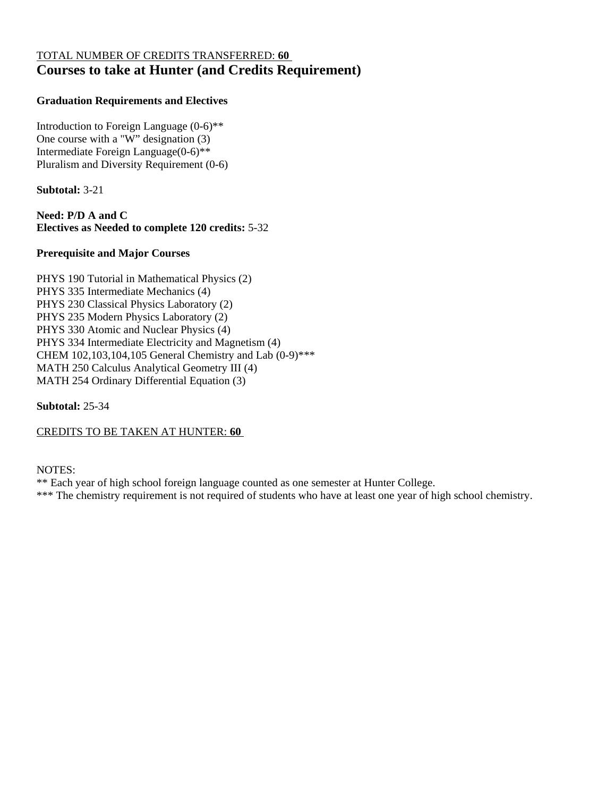# TOTAL NUMBER OF CREDITS TRANSFERRED: **60 Courses to take at Hunter (and Credits Requirement)**

### **Graduation Requirements and Electives**

 Introduction to Foreign Language (0-6)\*\* One course with a "W" designation (3) Intermediate Foreign Language(0-6)\*\* Pluralism and Diversity Requirement (0-6)

**Subtotal:** 3-21

 **Need: P/D A and C Electives as Needed to complete 120 credits:** 5-32

### **Prerequisite and Major Courses**

 PHYS 190 Tutorial in Mathematical Physics (2) PHYS 335 Intermediate Mechanics (4) PHYS 230 Classical Physics Laboratory (2) PHYS 235 Modern Physics Laboratory (2) PHYS 330 Atomic and Nuclear Physics (4) PHYS 334 Intermediate Electricity and Magnetism (4) CHEM 102,103,104,105 General Chemistry and Lab (0-9)\*\*\* MATH 250 Calculus Analytical Geometry III (4) MATH 254 Ordinary Differential Equation (3)

**Subtotal:** 25-34

CREDITS TO BE TAKEN AT HUNTER: **60** 

### NOTES:

\*\* Each year of high school foreign language counted as one semester at Hunter College.

\*\*\* The chemistry requirement is not required of students who have at least one year of high school chemistry.